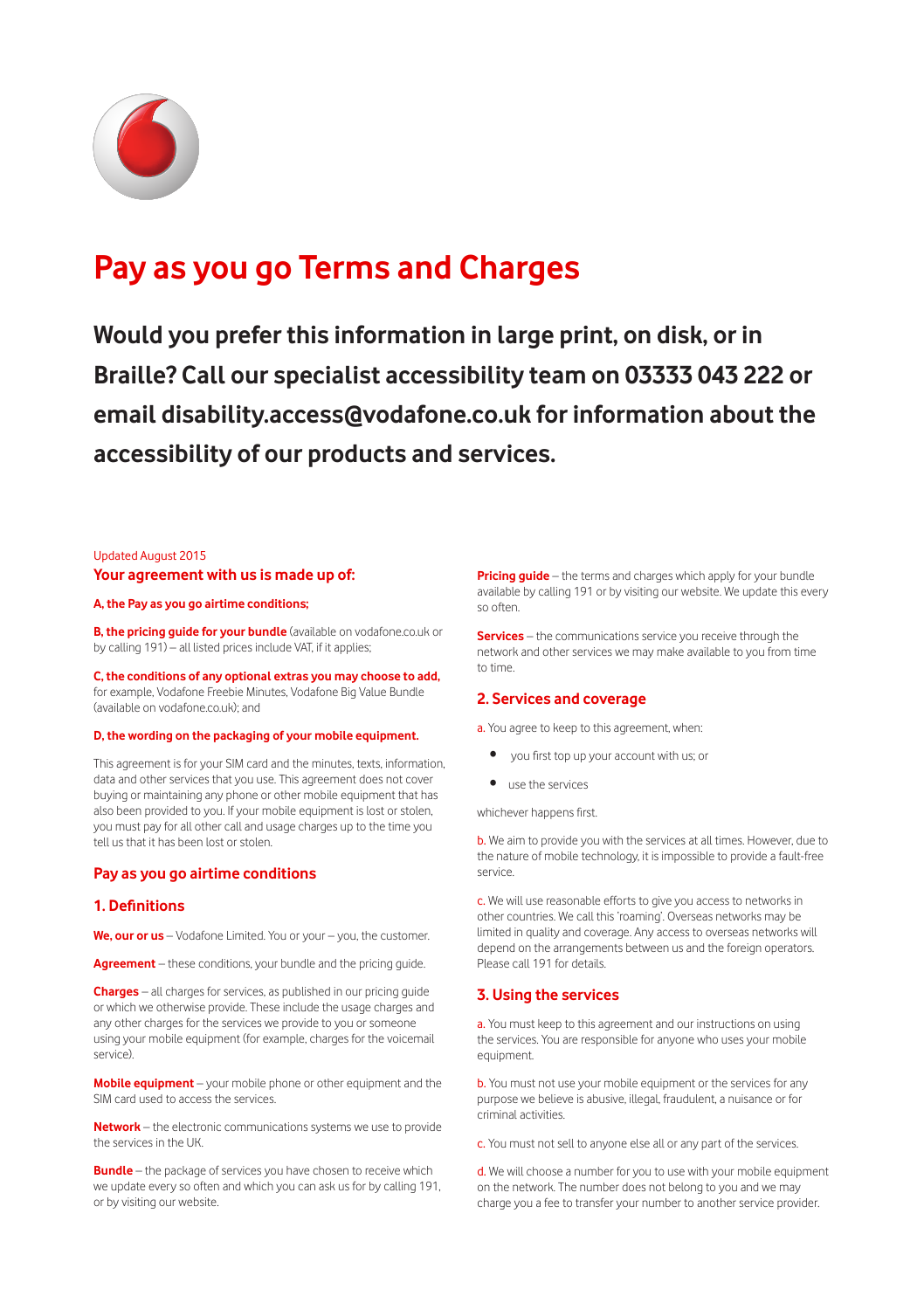

# **Pay as you go Terms and Charges**

**Would you prefer this information in large print, on disk, or in Braille? Call our specialist accessibility team on 03333 043 222 or email disability.access@vodafone.co.uk for information about the accessibility of our products and services.**

#### Updated August 2015 **Your agreement with us is made up of:**

#### **A, the Pay as you go airtime conditions;**

**B, the pricing quide for your bundle** (available on vodafone.co.uk or by calling 191) – all listed prices include VAT, if it applies;

**C, the conditions of any optional extras you may choose to add,** for example, Vodafone Freebie Minutes, Vodafone Big Value Bundle (available on vodafone.co.uk); and

#### **D, the wording on the packaging of your mobile equipment.**

This agreement is for your SIM card and the minutes, texts, information, data and other services that you use. This agreement does not cover buying or maintaining any phone or other mobile equipment that has also been provided to you. If your mobile equipment is lost or stolen, you must pay for all other call and usage charges up to the time you tell us that it has been lost or stolen.

#### **Pay as you go airtime conditions**

#### **1. Definitions**

**We, our or us** – Vodafone Limited. You or your – you, the customer.

**Agreement** – these conditions, your bundle and the pricing guide.

**Charges** – all charges for services, as published in our pricing guide or which we otherwise provide. These include the usage charges and any other charges for the services we provide to you or someone using your mobile equipment (for example, charges for the voicemail service).

**Mobile equipment** – your mobile phone or other equipment and the SIM card used to access the services.

**Network** – the electronic communications systems we use to provide the services in the UK.

**Bundle** – the package of services you have chosen to receive which we update every so often and which you can ask us for by calling 191, or by visiting our website.

**Pricing guide** – the terms and charges which apply for your bundle available by calling 191 or by visiting our website. We update this every so often.

**Services** – the communications service you receive through the network and other services we may make available to you from time to time.

#### **2. Services and coverage**

a. You agree to keep to this agreement, when:

- you first top up your account with us; or
- use the services

whichever happens first.

b. We aim to provide you with the services at all times. However, due to the nature of mobile technology, it is impossible to provide a fault-free service.

c. We will use reasonable efforts to give you access to networks in other countries. We call this 'roaming'. Overseas networks may be limited in quality and coverage. Any access to overseas networks will depend on the arrangements between us and the foreign operators. Please call 191 for details.

#### **3. Using the services**

a. You must keep to this agreement and our instructions on using the services. You are responsible for anyone who uses your mobile equipment.

**b.** You must not use your mobile equipment or the services for any purpose we believe is abusive, illegal, fraudulent, a nuisance or for criminal activities.

c. You must not sell to anyone else all or any part of the services.

d. We will choose a number for you to use with your mobile equipment on the network. The number does not belong to you and we may charge you a fee to transfer your number to another service provider.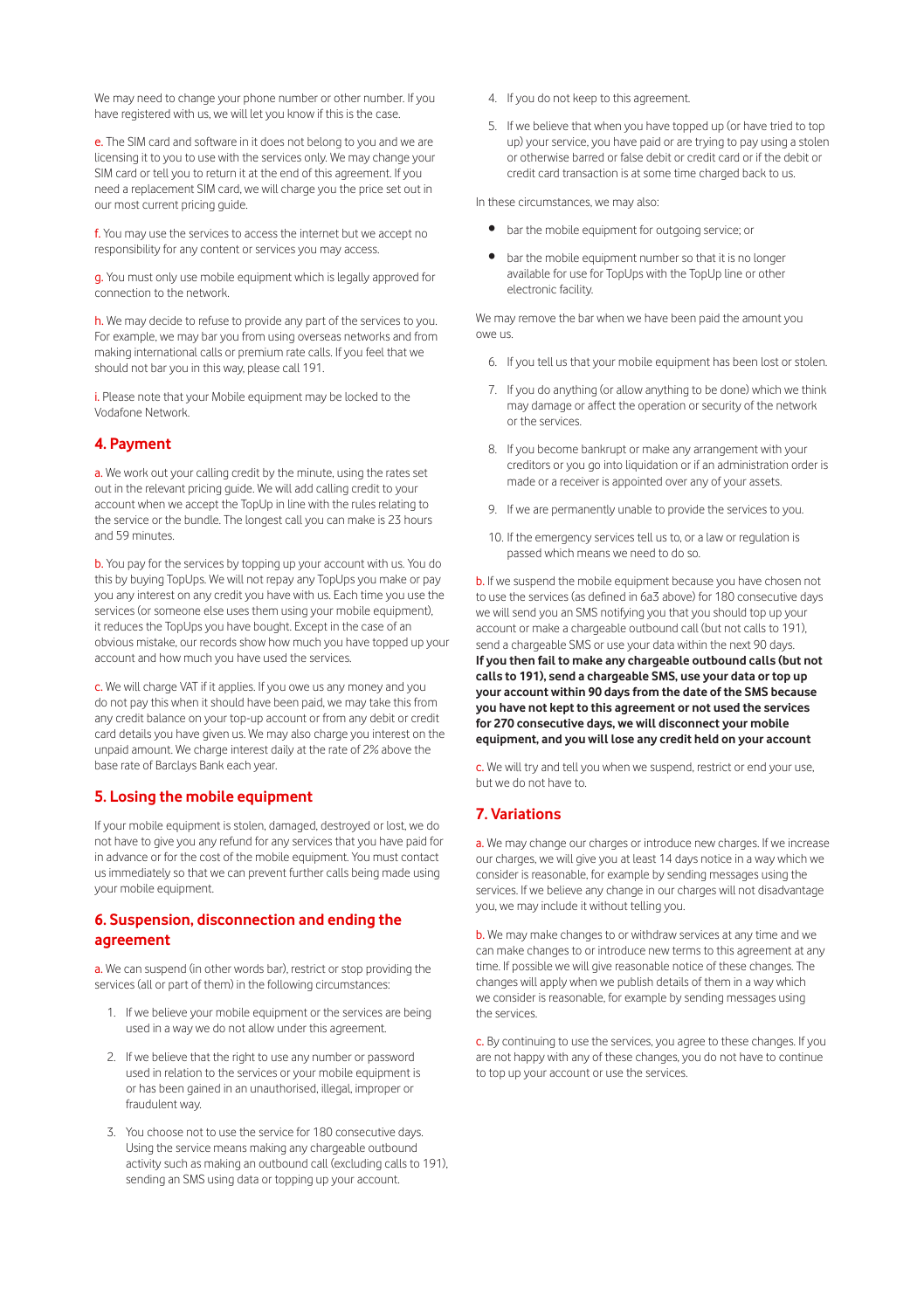We may need to change your phone number or other number. If you have registered with us, we will let you know if this is the case.

e. The SIM card and software in it does not belong to you and we are licensing it to you to use with the services only. We may change your SIM card or tell you to return it at the end of this agreement. If you need a replacement SIM card, we will charge you the price set out in our most current pricing guide.

f. You may use the services to access the internet but we accept no responsibility for any content or services you may access.

g. You must only use mobile equipment which is legally approved for connection to the network.

h. We may decide to refuse to provide any part of the services to you. For example, we may bar you from using overseas networks and from making international calls or premium rate calls. If you feel that we should not bar you in this way, please call 191.

i. Please note that your Mobile equipment may be locked to the Vodafone Network.

### **4. Payment**

a. We work out your calling credit by the minute, using the rates set out in the relevant pricing guide. We will add calling credit to your account when we accept the TopUp in line with the rules relating to the service or the bundle. The longest call you can make is 23 hours and 59 minutes.

b. You pay for the services by topping up your account with us. You do this by buying TopUps. We will not repay any TopUps you make or pay you any interest on any credit you have with us. Each time you use the services (or someone else uses them using your mobile equipment), it reduces the TopUps you have bought. Except in the case of an obvious mistake, our records show how much you have topped up your account and how much you have used the services.

c. We will charge VAT if it applies. If you owe us any money and you do not pay this when it should have been paid, we may take this from any credit balance on your top-up account or from any debit or credit card details you have given us. We may also charge you interest on the unpaid amount. We charge interest daily at the rate of 2% above the base rate of Barclays Bank each year.

### **5. Losing the mobile equipment**

If your mobile equipment is stolen, damaged, destroyed or lost, we do not have to give you any refund for any services that you have paid for in advance or for the cost of the mobile equipment. You must contact us immediately so that we can prevent further calls being made using your mobile equipment.

### **6. Suspension, disconnection and ending the agreement**

a. We can suspend (in other words bar), restrict or stop providing the services (all or part of them) in the following circumstances:

- 1. If we believe your mobile equipment or the services are being used in a way we do not allow under this agreement.
- 2. If we believe that the right to use any number or password used in relation to the services or your mobile equipment is or has been gained in an unauthorised, illegal, improper or fraudulent way.
- 3. You choose not to use the service for 180 consecutive days. Using the service means making any chargeable outbound activity such as making an outbound call (excluding calls to 191), sending an SMS using data or topping up your account.

4. If you do not keep to this agreement.

5. If we believe that when you have topped up (or have tried to top up) your service, you have paid or are trying to pay using a stolen or otherwise barred or false debit or credit card or if the debit or credit card transaction is at some time charged back to us.

In these circumstances, we may also:

- bar the mobile equipment for outgoing service; or
- bar the mobile equipment number so that it is no longer available for use for TopUps with the TopUp line or other electronic facility.

We may remove the bar when we have been paid the amount you owe us.

- 6. If you tell us that your mobile equipment has been lost or stolen.
- 7. If you do anything (or allow anything to be done) which we think may damage or affect the operation or security of the network or the services.
- 8. If you become bankrupt or make any arrangement with your creditors or you go into liquidation or if an administration order is made or a receiver is appointed over any of your assets.
- 9. If we are permanently unable to provide the services to you.
- 10. If the emergency services tell us to, or a law or regulation is passed which means we need to do so.

b. If we suspend the mobile equipment because you have chosen not to use the services (as defined in 6a3 above) for 180 consecutive days we will send you an SMS notifying you that you should top up your account or make a chargeable outbound call (but not calls to 191), send a chargeable SMS or use your data within the next 90 days. **If you then fail to make any chargeable outbound calls (but not calls to 191), send a chargeable SMS, use your data or top up your account within 90 days from the date of the SMS because you have not kept to this agreement or not used the services for 270 consecutive days, we will disconnect your mobile equipment, and you will lose any credit held on your account**

c. We will try and tell you when we suspend, restrict or end your use, but we do not have to.

### **7. Variations**

a. We may change our charges or introduce new charges. If we increase our charges, we will give you at least 14 days notice in a way which we consider is reasonable, for example by sending messages using the services. If we believe any change in our charges will not disadvantage you, we may include it without telling you.

b. We may make changes to or withdraw services at any time and we can make changes to or introduce new terms to this agreement at any time. If possible we will give reasonable notice of these changes. The changes will apply when we publish details of them in a way which we consider is reasonable, for example by sending messages using the services.

c. By continuing to use the services, you agree to these changes. If you are not happy with any of these changes, you do not have to continue to top up your account or use the services.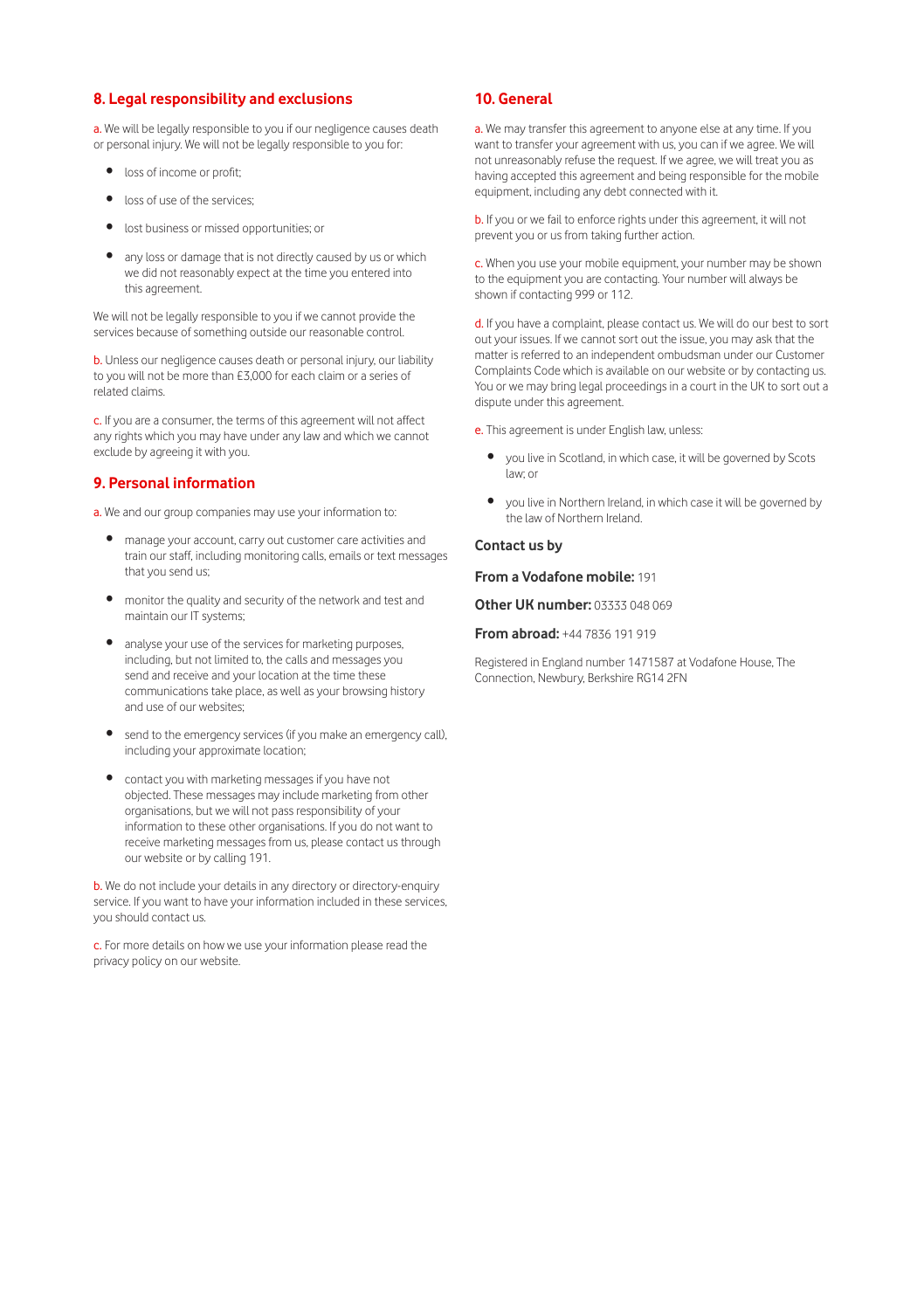### **8. Legal responsibility and exclusions**

a. We will be legally responsible to you if our negligence causes death or personal injury. We will not be legally responsible to you for:

- loss of income or profit;
- loss of use of the services;
- lost business or missed opportunities; or
- any loss or damage that is not directly caused by us or which we did not reasonably expect at the time you entered into this agreement.

We will not be legally responsible to you if we cannot provide the services because of something outside our reasonable control.

b. Unless our negligence causes death or personal injury, our liability to you will not be more than £3,000 for each claim or a series of related claims.

c. If you are a consumer, the terms of this agreement will not affect any rights which you may have under any law and which we cannot exclude by agreeing it with you.

### **9. Personal information**

a. We and our group companies may use your information to:

- manage your account, carry out customer care activities and train our staff, including monitoring calls, emails or text messages that you send us;
- monitor the quality and security of the network and test and maintain our IT systems;
- analyse your use of the services for marketing purposes, including, but not limited to, the calls and messages you send and receive and your location at the time these communications take place, as well as your browsing history and use of our websites;
- send to the emergency services (if you make an emergency call), including your approximate location;
- contact you with marketing messages if you have not objected. These messages may include marketing from other organisations, but we will not pass responsibility of your information to these other organisations. If you do not want to receive marketing messages from us, please contact us through our website or by calling 191.

b. We do not include your details in any directory or directory-enquiry service. If you want to have your information included in these services, you should contact us.

c. For more details on how we use your information please read the privacy policy on our website.

### **10. General**

a. We may transfer this agreement to anyone else at any time. If you want to transfer your agreement with us, you can if we agree. We will not unreasonably refuse the request. If we agree, we will treat you as having accepted this agreement and being responsible for the mobile equipment, including any debt connected with it.

b. If you or we fail to enforce rights under this agreement, it will not prevent you or us from taking further action.

c. When you use your mobile equipment, your number may be shown to the equipment you are contacting. Your number will always be shown if contacting 999 or 112.

d. If you have a complaint, please contact us. We will do our best to sort out your issues. If we cannot sort out the issue, you may ask that the matter is referred to an independent ombudsman under our Customer Complaints Code which is available on our website or by contacting us. You or we may bring legal proceedings in a court in the UK to sort out a dispute under this agreement.

- e. This agreement is under English law, unless:
	- you live in Scotland, in which case, it will be governed by Scots law; or
	- you live in Northern Ireland, in which case it will be governed by the law of Northern Ireland.

#### **Contact us by**

**From a Vodafone mobile:** 191

**Other UK number:** 03333 048 069

**From abroad:** +44 7836 191 919

Registered in England number 1471587 at Vodafone House, The Connection, Newbury, Berkshire RG14 2FN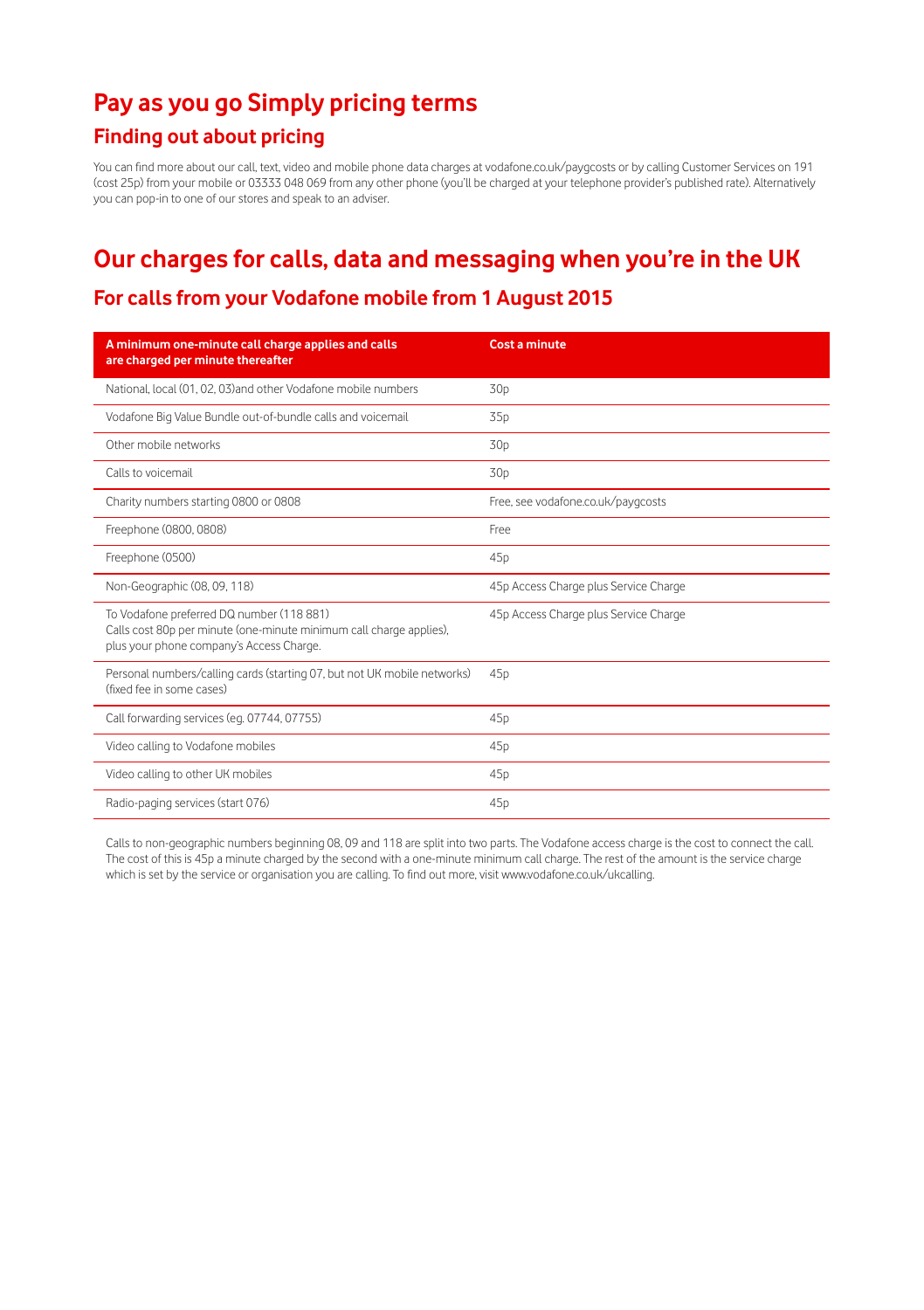## **Pay as you go Simply pricing terms**

## **Finding out about pricing**

You can find more about our call, text, video and mobile phone data charges at vodafone.co.uk/paygcosts or by calling Customer Services on 191 (cost 25p) from your mobile or 03333 048 069 from any other phone (you'll be charged at your telephone provider's published rate). Alternatively you can pop-in to one of our stores and speak to an adviser.

## **Our charges for calls, data and messaging when you're in the UK**

## **For calls from your Vodafone mobile from 1 August 2015**

| A minimum one-minute call charge applies and calls<br>are charged per minute thereafter                                                                      | Cost a minute                         |
|--------------------------------------------------------------------------------------------------------------------------------------------------------------|---------------------------------------|
| National, local (01, 02, 03) and other Vodafone mobile numbers                                                                                               | 30p                                   |
| Vodafone Big Value Bundle out-of-bundle calls and voicemail                                                                                                  | 35 <sub>p</sub>                       |
| Other mobile networks                                                                                                                                        | 30p                                   |
| Calls to voicemail                                                                                                                                           | 30p                                   |
| Charity numbers starting 0800 or 0808                                                                                                                        | Free, see vodafone.co.uk/payqcosts    |
| Freephone (0800, 0808)                                                                                                                                       | Free                                  |
| Freephone (0500)                                                                                                                                             | 45p                                   |
| Non-Geographic (08, 09, 118)                                                                                                                                 | 45p Access Charge plus Service Charge |
| To Vodafone preferred DQ number (118 881)<br>Calls cost 80p per minute (one-minute minimum call charge applies),<br>plus your phone company's Access Charge. | 45p Access Charge plus Service Charge |
| Personal numbers/calling cards (starting 07, but not UK mobile networks)<br>(fixed fee in some cases)                                                        | 45 <sub>D</sub>                       |
| Call forwarding services (eg. 07744, 07755)                                                                                                                  | 45p                                   |
| Video calling to Vodafone mobiles                                                                                                                            | 45p                                   |
| Video calling to other UK mobiles                                                                                                                            | 45p                                   |
| Radio-paging services (start 076)                                                                                                                            | 45p                                   |

Calls to non-geographic numbers beginning 08, 09 and 118 are split into two parts. The Vodafone access charge is the cost to connect the call. The cost of this is 45p a minute charged by the second with a one-minute minimum call charge. The rest of the amount is the service charge which is set by the service or organisation you are calling. To find out more, visit www.vodafone.co.uk/ukcalling.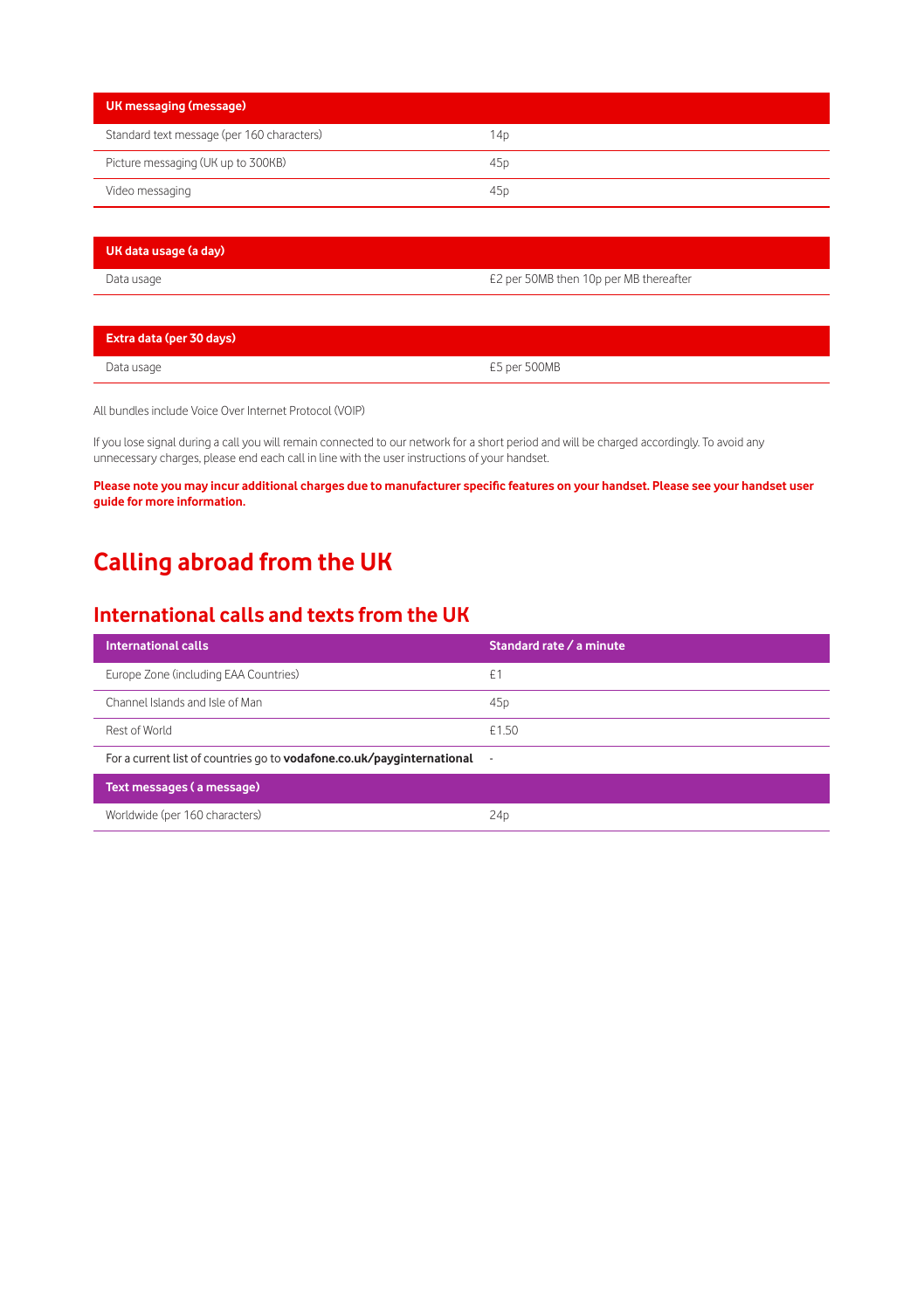| UK messaging (message)                     |                 |
|--------------------------------------------|-----------------|
| Standard text message (per 160 characters) | 14p             |
| Picture messaging (UK up to 300KB)         | 45 <sub>D</sub> |
| Video messaging                            | 45 <sub>D</sub> |

| UK data usage (a day) |                                        |
|-----------------------|----------------------------------------|
| Data usage            | E2 per 50MB then 10p per MB thereafter |

| Extra data (per 30 days) |              |
|--------------------------|--------------|
| Data usage               | £5 per 500MB |

All bundles include Voice Over Internet Protocol (VOIP)

If you lose signal during a call you will remain connected to our network for a short period and will be charged accordingly. To avoid any unnecessary charges, please end each call in line with the user instructions of your handset.

**Please note you may incur additional charges due to manufacturer specific features on your handset. Please see your handset user guide for more information.**

## **Calling abroad from the UK**

## **International calls and texts from the UK**

| <b>International calls</b>                                             | Standard rate / a minute |  |  |  |
|------------------------------------------------------------------------|--------------------------|--|--|--|
| Europe Zone (including EAA Countries)                                  | £1                       |  |  |  |
| Channel Islands and Isle of Man                                        | 45 <sub>D</sub>          |  |  |  |
| Rest of World                                                          | £1.50                    |  |  |  |
| For a current list of countries go to vodafone.co.uk/payginternational | $\overline{\phantom{a}}$ |  |  |  |
| Text messages (a message)                                              |                          |  |  |  |
| Worldwide (per 160 characters)                                         | 24 <sub>D</sub>          |  |  |  |